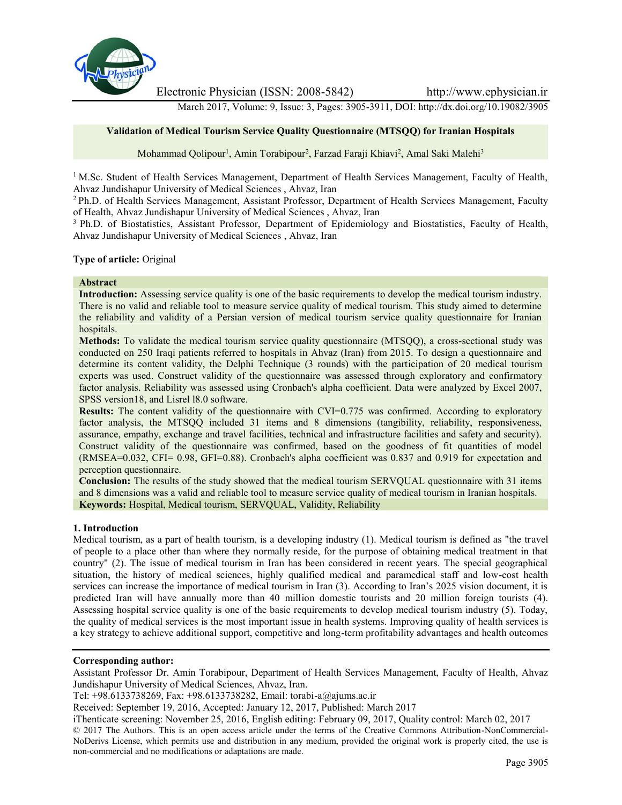

Electronic Physician (ISSN: 2008-5842) http://www.ephysician.ir

March 2017, Volume: 9, Issue: 3, Pages: 3905-3911, DOI: http://dx.doi.org/10.19082/3905

# **Validation of Medical Tourism Service Quality Questionnaire (MTSQQ) for Iranian Hospitals**

Mohammad Qolipour<sup>1</sup>, Amin Torabipour<sup>2</sup>, Farzad Faraji Khiavi<sup>2</sup>, Amal Saki Malehi<sup>3</sup>

<sup>1</sup> M.Sc. Student of Health Services Management, Department of Health Services Management, Faculty of Health, Ahvaz Jundishapur University of Medical Sciences , Ahvaz, Iran

<sup>2</sup> Ph.D. of Health Services Management, Assistant Professor, Department of Health Services Management, Faculty of Health, Ahvaz Jundishapur University of Medical Sciences , Ahvaz, Iran

<sup>3</sup> Ph.D. of Biostatistics, Assistant Professor, Department of Epidemiology and Biostatistics, Faculty of Health, Ahvaz Jundishapur University of Medical Sciences , Ahvaz, Iran

## **Type of article:** Original

### **Abstract**

**Introduction:** Assessing service quality is one of the basic requirements to develop the medical tourism industry. There is no valid and reliable tool to measure service quality of medical tourism. This study aimed to determine the reliability and validity of a Persian version of medical tourism service quality questionnaire for Iranian hospitals.

**Methods:** To validate the medical tourism service quality questionnaire (MTSQQ), a cross-sectional study was conducted on 250 Iraqi patients referred to hospitals in Ahvaz (Iran) from 2015. To design a questionnaire and determine its content validity, the Delphi Technique (3 rounds) with the participation of 20 medical tourism experts was used. Construct validity of the questionnaire was assessed through exploratory and confirmatory factor analysis. Reliability was assessed using Cronbach's alpha coefficient. Data were analyzed by Excel 2007, SPSS version18, and Lisrel l8.0 software.

**Results:** The content validity of the questionnaire with CVI=0.775 was confirmed. According to exploratory factor analysis, the MTSQQ included 31 items and 8 dimensions (tangibility, reliability, responsiveness, assurance, empathy, exchange and travel facilities, technical and infrastructure facilities and safety and security). Construct validity of the questionnaire was confirmed, based on the goodness of fit quantities of model (RMSEA=0.032, CFI= 0.98, GFI=0.88). Cronbach's alpha coefficient was 0.837 and 0.919 for expectation and perception questionnaire.

**Conclusion:** The results of the study showed that the medical tourism SERVQUAL questionnaire with 31 items and 8 dimensions was a valid and reliable tool to measure service quality of medical tourism in Iranian hospitals. **Keywords:** Hospital, Medical tourism, SERVQUAL, Validity, Reliability

# **1. Introduction**

Medical tourism, as a part of health tourism, is a developing industry (1). Medical tourism is defined as "the travel of people to a place other than where they normally reside, for the purpose of obtaining medical treatment in that country" (2). The issue of medical tourism in Iran has been considered in recent years. The special geographical situation, the history of medical sciences, highly qualified medical and paramedical staff and low-cost health services can increase the importance of medical tourism in Iran (3). According to Iran's 2025 vision document, it is predicted Iran will have annually more than 40 million domestic tourists and 20 million foreign tourists (4). Assessing hospital service quality is one of the basic requirements to develop medical tourism industry (5). Today, the quality of medical services is the most important issue in health systems. Improving quality of health services is a key strategy to achieve additional support, competitive and long-term profitability advantages and health outcomes

# **Corresponding author:**

Assistant Professor Dr. Amin Torabipour, Department of Health Services Management, Faculty of Health, Ahvaz Jundishapur University of Medical Sciences, Ahvaz, Iran.

Tel: +98.6133738269, Fax: +98.6133738282, Email: torabi-a@ajums.ac.ir

Received: September 19, 2016, Accepted: January 12, 2017, Published: March 2017

iThenticate screening: November 25, 2016, English editing: February 09, 2017, Quality control: March 02, 2017

© 2017 The Authors. This is an open access article under the terms of the Creative Commons Attribution-NonCommercial- NoDerivs License, which permits use and distribution in any medium, provided the original work is properly cited, the use is non-commercial and no modifications or adaptations are made.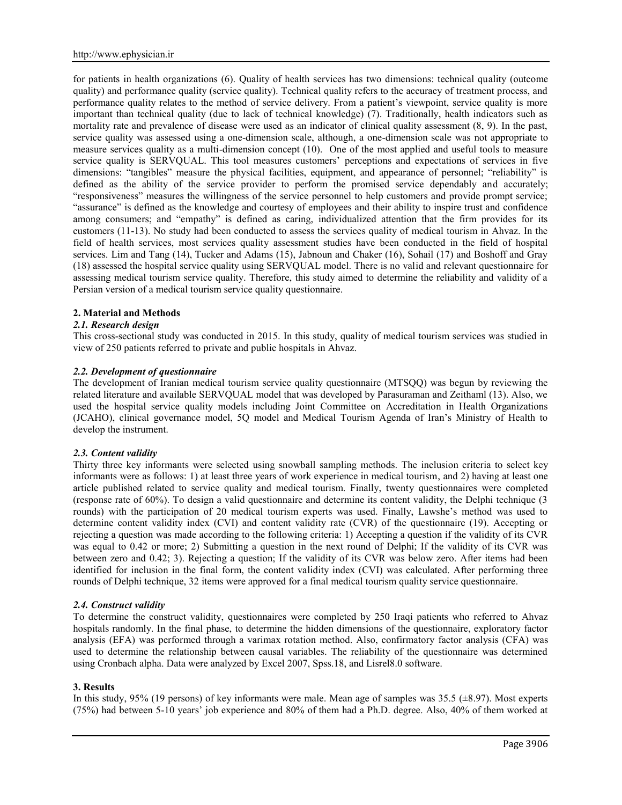for patients in health organizations (6). Quality of health services has two dimensions: technical quality (outcome quality) and performance quality (service quality). Technical quality refers to the accuracy of treatment process, and performance quality relates to the method of service delivery. From a patient's viewpoint, service quality is more important than technical quality (due to lack of technical knowledge) (7). Traditionally, health indicators such as mortality rate and prevalence of disease were used as an indicator of clinical quality assessment (8, 9). In the past, service quality was assessed using a one-dimension scale, although, a one-dimension scale was not appropriate to measure services quality as a multi-dimension concept (10). One of the most applied and useful tools to measure service quality is SERVQUAL. This tool measures customers' perceptions and expectations of services in five dimensions: "tangibles" measure the physical facilities, equipment, and appearance of personnel; "reliability" is defined as the ability of the service provider to perform the promised service dependably and accurately; "responsiveness" measures the willingness of the service personnel to help customers and provide prompt service; "assurance" is defined as the knowledge and courtesy of employees and their ability to inspire trust and confidence among consumers; and "empathy" is defined as caring, individualized attention that the firm provides for its customers (11-13). No study had been conducted to assess the services quality of medical tourism in Ahvaz. In the field of health services, most services quality assessment studies have been conducted in the field of hospital services. Lim and Tang (14), Tucker and Adams (15), Jabnoun and Chaker (16), Sohail (17) and Boshoff and Gray (18) assessed the hospital service quality using SERVQUAL model. There is no valid and relevant questionnaire for assessing medical tourism service quality. Therefore, this study aimed to determine the reliability and validity of a Persian version of a medical tourism service quality questionnaire.

### **2. Material and Methods**

### *2.1. Research design*

This cross-sectional study was conducted in 2015. In this study, quality of medical tourism services was studied in view of 250 patients referred to private and public hospitals in Ahvaz.

### *2.2. Development of questionnaire*

The development of Iranian medical tourism service quality questionnaire (MTSQQ) was begun by reviewing the related literature and available SERVQUAL model that was developed by Parasuraman and Zeithaml (13). Also, we used the hospital service quality models including Joint Committee on Accreditation in Health Organizations (JCAHO), clinical governance model, 5Q model and Medical Tourism Agenda of Iran's Ministry of Health to develop the instrument.

# *2.3. Content validity*

Thirty three key informants were selected using snowball sampling methods. The inclusion criteria to select key informants were as follows: 1) at least three years of work experience in medical tourism, and 2) having at least one article published related to service quality and medical tourism. Finally, twenty questionnaires were completed (response rate of 60%). To design a valid questionnaire and determine its content validity, the Delphi technique (3 rounds) with the participation of 20 medical tourism experts was used. Finally, Lawshe's method was used to determine content validity index (CVI) and content validity rate (CVR) of the questionnaire (19). Accepting or rejecting a question was made according to the following criteria: 1) Accepting a question if the validity of its CVR was equal to 0.42 or more; 2) Submitting a question in the next round of Delphi; If the validity of its CVR was between zero and 0.42; 3). Rejecting a question; If the validity of its CVR was below zero. After items had been identified for inclusion in the final form, the content validity index (CVI) was calculated. After performing three rounds of Delphi technique, 32 items were approved for a final medical tourism quality service questionnaire.

#### *2.4. Construct validity*

To determine the construct validity, questionnaires were completed by 250 Iraqi patients who referred to Ahvaz hospitals randomly. In the final phase, to determine the hidden dimensions of the questionnaire, exploratory factor analysis (EFA) was performed through a varimax rotation method. Also, confirmatory factor analysis (CFA) was used to determine the relationship between causal variables. The reliability of the questionnaire was determined using Cronbach alpha. Data were analyzed by Excel 2007, Spss.18, and Lisrel8.0 software.

#### **3. Results**

In this study, 95% (19 persons) of key informants were male. Mean age of samples was 35.5 ( $\pm$ 8.97). Most experts (75%) had between 5-10 years' job experience and 80% of them had a Ph.D. degree. Also, 40% of them worked at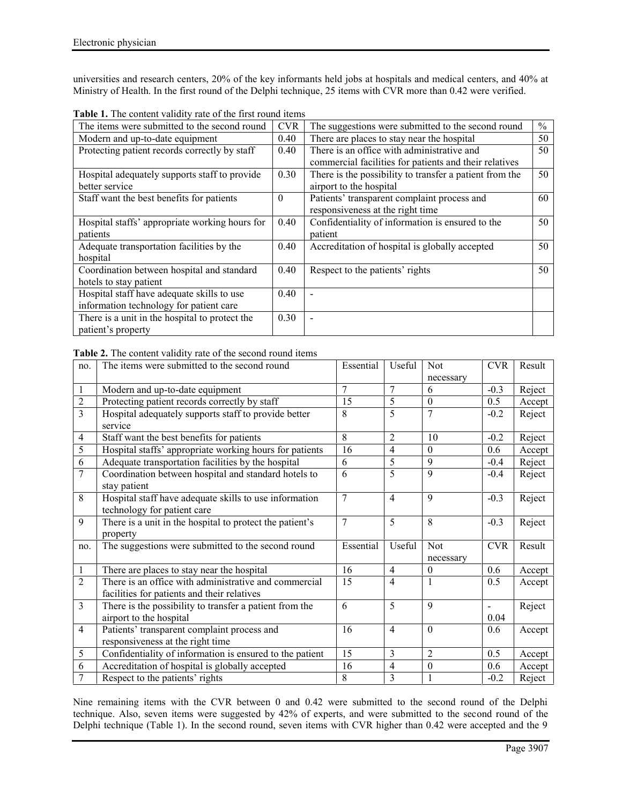universities and research centers, 20% of the key informants held jobs at hospitals and medical centers, and 40% at Ministry of Health. In the first round of the Delphi technique, 25 items with CVR more than 0.42 were verified.

| <b>CVR</b> | The suggestions were submitted to the second round      | $\%$                                                            |
|------------|---------------------------------------------------------|-----------------------------------------------------------------|
| 0.40       | There are places to stay near the hospital              | 50                                                              |
| 0.40       | There is an office with administrative and              | 50                                                              |
|            | commercial facilities for patients and their relatives  |                                                                 |
| 0.30       | There is the possibility to transfer a patient from the | 50                                                              |
|            | airport to the hospital                                 |                                                                 |
| $\theta$   | Patients' transparent complaint process and             | 60                                                              |
|            | responsiveness at the right time                        |                                                                 |
| 0.40       | Confidentiality of information is ensured to the        | 50                                                              |
|            | patient                                                 |                                                                 |
| 0.40       | Accreditation of hospital is globally accepted          | 50                                                              |
|            |                                                         |                                                                 |
| 0.40       | Respect to the patients' rights                         | 50                                                              |
|            |                                                         |                                                                 |
| 0.40       |                                                         |                                                                 |
|            |                                                         |                                                                 |
| 0.30       |                                                         |                                                                 |
|            |                                                         |                                                                 |
|            |                                                         | <b>THEIR IS THE COMMUNISTING THIS CHAIN THAT IS THEIR THEIR</b> |

**Table 1.** The content validity rate of the first round items

**Table 2.** The content validity rate of the second round items

| no.            | The items were submitted to the second round                                                         | Essential      | Useful         | <b>Not</b><br>necessary | <b>CVR</b>             | Result |
|----------------|------------------------------------------------------------------------------------------------------|----------------|----------------|-------------------------|------------------------|--------|
| $\mathbf{1}$   | Modern and up-to-date equipment                                                                      | $\overline{7}$ | 7              | 6                       | $-0.3$                 | Reject |
| $\overline{2}$ | Protecting patient records correctly by staff                                                        | 15             | 5              | $\boldsymbol{0}$        | 0.5                    | Accept |
| $\overline{3}$ | Hospital adequately supports staff to provide better<br>service                                      | 8              | 5              | $\tau$                  | $-0.2$                 | Reject |
| $\overline{4}$ | Staff want the best benefits for patients                                                            | 8              | $\overline{2}$ | 10                      | $-0.2$                 | Reject |
| 5              | Hospital staffs' appropriate working hours for patients                                              | 16             | $\overline{4}$ | $\theta$                | 0.6                    | Accept |
| 6              | Adequate transportation facilities by the hospital                                                   | 6              | 5              | 9                       | $-0.4$                 | Reject |
| $\overline{7}$ | Coordination between hospital and standard hotels to<br>stay patient                                 | 6              | 5              | 9                       | $-0.4$                 | Reject |
| 8              | Hospital staff have adequate skills to use information<br>technology for patient care                | $\overline{7}$ | $\overline{4}$ | 9                       | $-0.3$                 | Reject |
| 9              | There is a unit in the hospital to protect the patient's<br>property                                 | $\overline{7}$ | 5              | 8                       | $-0.3$                 | Reject |
| no.            | The suggestions were submitted to the second round                                                   | Essential      | Useful         | Not<br>necessary        | <b>CVR</b>             | Result |
| $\mathbf{1}$   | There are places to stay near the hospital                                                           | 16             | $\overline{4}$ | $\mathbf{0}$            | 0.6                    | Accept |
| $\overline{2}$ | There is an office with administrative and commercial<br>facilities for patients and their relatives | 15             | $\overline{4}$ | 1                       | 0.5                    | Accept |
| 3              | There is the possibility to transfer a patient from the<br>airport to the hospital                   | 6              | 5              | 9                       | $\blacksquare$<br>0.04 | Reject |
| $\overline{4}$ | Patients' transparent complaint process and<br>responsiveness at the right time                      | 16             | $\overline{4}$ | $\theta$                | 0.6                    | Accept |
| 5              | Confidentiality of information is ensured to the patient                                             | 15             | 3              | $\overline{c}$          | 0.5                    | Accept |
| 6              | Accreditation of hospital is globally accepted                                                       | 16             | $\overline{4}$ | $\boldsymbol{0}$        | 0.6                    | Accept |
| $\overline{7}$ | Respect to the patients' rights                                                                      | 8              | 3              |                         | $-0.2$                 | Reject |

Nine remaining items with the CVR between 0 and 0.42 were submitted to the second round of the Delphi technique. Also, seven items were suggested by 42% of experts, and were submitted to the second round of the Delphi technique (Table 1). In the second round, seven items with CVR higher than 0.42 were accepted and the 9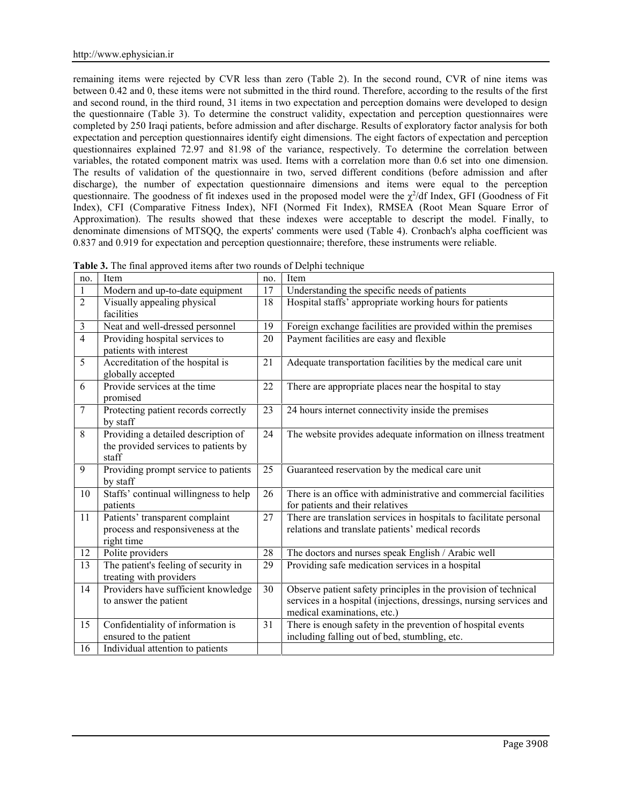remaining items were rejected by CVR less than zero (Table 2). In the second round, CVR of nine items was between 0.42 and 0, these items were not submitted in the third round. Therefore, according to the results of the first and second round, in the third round, 31 items in two expectation and perception domains were developed to design the questionnaire (Table 3). To determine the construct validity, expectation and perception questionnaires were completed by 250 Iraqi patients, before admission and after discharge. Results of exploratory factor analysis for both expectation and perception questionnaires identify eight dimensions. The eight factors of expectation and perception questionnaires explained 72.97 and 81.98 of the variance, respectively. To determine the correlation between variables, the rotated component matrix was used. Items with a correlation more than 0.6 set into one dimension. The results of validation of the questionnaire in two, served different conditions (before admission and after discharge), the number of expectation questionnaire dimensions and items were equal to the perception questionnaire. The goodness of fit indexes used in the proposed model were the  $\chi^2$ /df Index, GFI (Goodness of Fit Index), CFI (Comparative Fitness Index), NFI (Normed Fit Index), RMSEA (Root Mean Square Error of Approximation). The results showed that these indexes were acceptable to descript the model. Finally, to denominate dimensions of MTSQQ, the experts' comments were used (Table 4). Cronbach's alpha coefficient was 0.837 and 0.919 for expectation and perception questionnaire; therefore, these instruments were reliable.

| no.            | Item                                                                                 | no.    | Item                                                                                                                                                                  |
|----------------|--------------------------------------------------------------------------------------|--------|-----------------------------------------------------------------------------------------------------------------------------------------------------------------------|
|                | Modern and up-to-date equipment                                                      | 17     | Understanding the specific needs of patients                                                                                                                          |
| $\overline{2}$ | Visually appealing physical<br>facilities                                            | 18     | Hospital staffs' appropriate working hours for patients                                                                                                               |
| 3              | Neat and well-dressed personnel                                                      | 19     | Foreign exchange facilities are provided within the premises                                                                                                          |
| 4              | Providing hospital services to<br>patients with interest                             | 20     | Payment facilities are easy and flexible                                                                                                                              |
| 5              | Accreditation of the hospital is<br>globally accepted                                | 21     | Adequate transportation facilities by the medical care unit                                                                                                           |
| 6              | Provide services at the time<br>promised                                             | 22     | There are appropriate places near the hospital to stay                                                                                                                |
| $\overline{7}$ | Protecting patient records correctly<br>by staff                                     | 23     | 24 hours internet connectivity inside the premises                                                                                                                    |
| 8              | Providing a detailed description of<br>the provided services to patients by<br>staff | 24     | The website provides adequate information on illness treatment                                                                                                        |
| 9              | Providing prompt service to patients<br>by staff                                     | 25     | Guaranteed reservation by the medical care unit                                                                                                                       |
| 10             | Staffs' continual willingness to help<br>patients                                    | 26     | There is an office with administrative and commercial facilities<br>for patients and their relatives                                                                  |
| 11             | Patients' transparent complaint<br>process and responsiveness at the<br>right time   | 27     | There are translation services in hospitals to facilitate personal<br>relations and translate patients' medical records                                               |
| 12             | Polite providers                                                                     | $28\,$ | The doctors and nurses speak English / Arabic well                                                                                                                    |
| 13             | The patient's feeling of security in<br>treating with providers                      | 29     | Providing safe medication services in a hospital                                                                                                                      |
| 14             | Providers have sufficient knowledge<br>to answer the patient                         | 30     | Observe patient safety principles in the provision of technical<br>services in a hospital (injections, dressings, nursing services and<br>medical examinations, etc.) |
| 15             | Confidentiality of information is<br>ensured to the patient                          | 31     | There is enough safety in the prevention of hospital events<br>including falling out of bed, stumbling, etc.                                                          |
| 16             | Individual attention to patients                                                     |        |                                                                                                                                                                       |

**Table 3.** The final approved items after two rounds of Delphi technique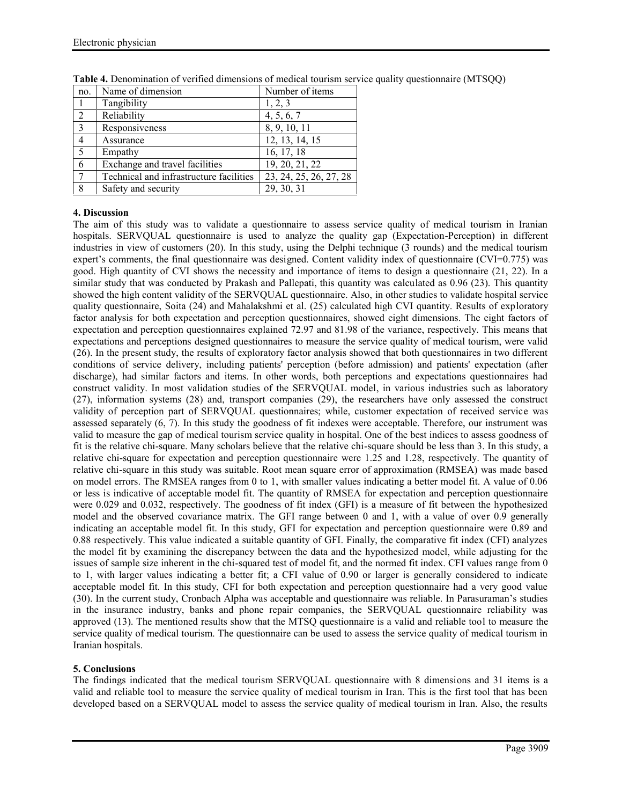| no.            | Name of dimension                       | Number of items        |
|----------------|-----------------------------------------|------------------------|
|                | Tangibility                             | 1, 2, 3                |
| $\overline{2}$ | Reliability                             | 4, 5, 6, 7             |
| 3              | Responsiveness                          | 8, 9, 10, 11           |
| 4              | Assurance                               | 12, 13, 14, 15         |
| 5              | Empathy                                 | 16, 17, 18             |
| 6              | Exchange and travel facilities          | 19, 20, 21, 22         |
|                | Technical and infrastructure facilities | 23, 24, 25, 26, 27, 28 |
| 8              | Safety and security                     | 29, 30, 31             |

**Table 4.** Denomination of verified dimensions of medical tourism service quality questionnaire (MTSQQ)

### **4. Discussion**

The aim of this study was to validate a questionnaire to assess service quality of medical tourism in Iranian hospitals. SERVQUAL questionnaire is used to analyze the quality gap (Expectation-Perception) in different industries in view of customers (20). In this study, using the Delphi technique (3 rounds) and the medical tourism expert's comments, the final questionnaire was designed. Content validity index of questionnaire (CVI=0.775) was good. High quantity of CVI shows the necessity and importance of items to design a questionnaire (21, 22). In a similar study that was conducted by Prakash and Pallepati, this quantity was calculated as 0.96 (23). This quantity showed the high content validity of the SERVQUAL questionnaire. Also, in other studies to validate hospital service quality questionnaire, Soita (24) and Mahalakshmi et al. (25) calculated high CVI quantity. Results of exploratory factor analysis for both expectation and perception questionnaires, showed eight dimensions. The eight factors of expectation and perception questionnaires explained 72.97 and 81.98 of the variance, respectively. This means that expectations and perceptions designed questionnaires to measure the service quality of medical tourism, were valid (26). In the present study, the results of exploratory factor analysis showed that both questionnaires in two different conditions of service delivery, including patients' perception (before admission) and patients' expectation (after discharge), had similar factors and items. In other words, both perceptions and expectations questionnaires had construct validity. In most validation studies of the SERVQUAL model, in various industries such as laboratory (27), information systems (28) and, transport companies (29), the researchers have only assessed the construct validity of perception part of SERVQUAL questionnaires; while, customer expectation of received service was assessed separately (6, 7). In this study the goodness of fit indexes were acceptable. Therefore, our instrument was valid to measure the gap of medical tourism service quality in hospital. One of the best indices to assess goodness of fit is the relative chi-square. Many scholars believe that the relative chi-square should be less than 3. In this study, a relative chi-square for expectation and perception questionnaire were 1.25 and 1.28, respectively. The quantity of relative chi-square in this study was suitable. Root mean square error of approximation (RMSEA) was made based on model errors. The RMSEA ranges from 0 to 1, with smaller values indicating a better model fit. A value of 0.06 or less is indicative of acceptable model fit. The quantity of RMSEA for expectation and perception questionnaire were 0.029 and 0.032, respectively. The goodness of fit index (GFI) is a measure of fit between the hypothesized model and the observed covariance matrix. The GFI range between 0 and 1, with a value of over 0.9 generally indicating an acceptable model fit. In this study, GFI for expectation and perception questionnaire were 0.89 and 0.88 respectively. This value indicated a suitable quantity of GFI. Finally, the comparative fit index (CFI) analyzes the model fit by examining the discrepancy between the data and the hypothesized model, while adjusting for the issues of sample size inherent in the chi-squared test of model fit, and the normed fit index. CFI values range from 0 to 1, with larger values indicating a better fit; a CFI value of 0.90 or larger is generally considered to indicate acceptable model fit. In this study, CFI for both expectation and perception questionnaire had a very good value (30). In the current study, Cronbach Alpha was acceptable and questionnaire was reliable. In Parasuraman's studies in the insurance industry, banks and phone repair companies, the SERVQUAL questionnaire reliability was approved (13). The mentioned results show that the MTSQ questionnaire is a valid and reliable tool to measure the service quality of medical tourism. The questionnaire can be used to assess the service quality of medical tourism in Iranian hospitals.

# **5. Conclusions**

The findings indicated that the medical tourism SERVQUAL questionnaire with 8 dimensions and 31 items is a valid and reliable tool to measure the service quality of medical tourism in Iran. This is the first tool that has been developed based on a SERVQUAL model to assess the service quality of medical tourism in Iran. Also, the results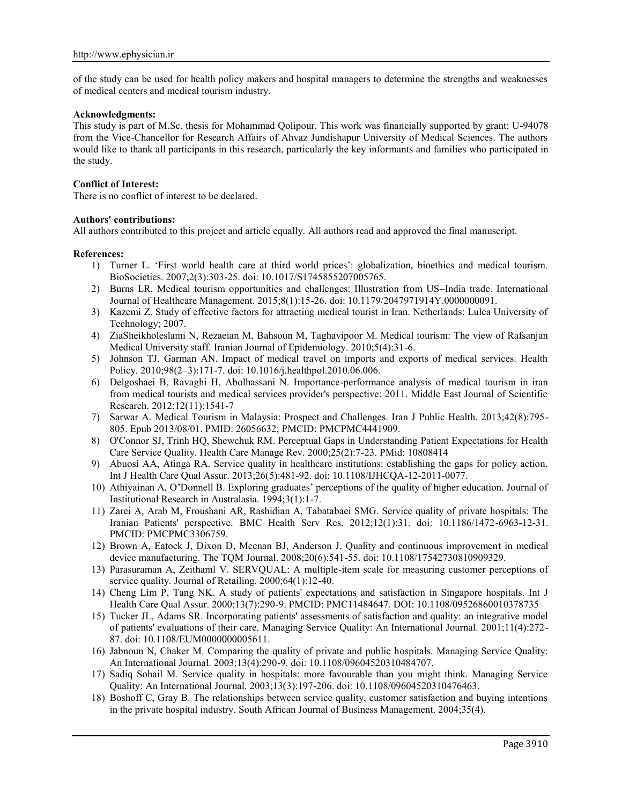of the study can be used for health policy makers and hospital managers to determine the strengths and weaknesses of medical centers and medical tourism industry.

#### **Acknowledgments:**

This study is part of M.Sc. thesis for Mohammad Qolipour. This work was financially supported by grant: U-94078 from the Vice-Chancellor for Research Affairs of Ahvaz Jundishapur University of Medical Sciences. The authors would like to thank all participants in this research, particularly the key informants and families who participated in the study.

#### **Conflict of Interest:**

There is no conflict of interest to be declared.

### **Authors' contributions:**

All authors contributed to this project and article equally. All authors read and approved the final manuscript.

#### **References:**

- 1) Turner L. 'First world health care at third world prices': globalization, bioethics and medical tourism. BioSocieties. 2007;2(3):303-25. doi: 10.1017/S1745855207005765.
- 2) Burns LR. Medical tourism opportunities and challenges: Illustration from US–India trade. International Journal of Healthcare Management. 2015;8(1):15-26. doi: 10.1179/2047971914Y.0000000091.
- 3) Kazemi Z. Study of effective factors for attracting medical tourist in Iran. Netherlands: Lulea University of Technology; 2007.
- 4) ZiaSheikholeslami N, Rezaeian M, Bahsoun M, Taghavipoor M. Medical tourism: The view of Rafsanjan Medical University staff. Iranian Journal of Epidemiology. 2010;5(4):31-6.
- 5) Johnson TJ, Garman AN. Impact of medical travel on imports and exports of medical services. Health Policy. 2010;98(2–3):171-7. doi: 10.1016/j.healthpol.2010.06.006.
- 6) Delgoshaei B, Ravaghi H, Abolhassani N. Importance-performance analysis of medical tourism in iran from medical tourists and medical services provider's perspective: 2011. Middle East Journal of Scientific Research. 2012;12(11):1541-7
- 7) Sarwar A. Medical Tourism in Malaysia: Prospect and Challenges. Iran J Public Health. 2013;42(8):795- 805. Epub 2013/08/01. PMID: 26056632; PMCID: PMCPMC4441909.
- 8) O'Connor SJ, Trinh HQ, Shewchuk RM. Perceptual Gaps in Understanding Patient Expectations for Health Care Service Quality. Health Care Manage Rev. 2000;25(2):7-23. PMid: 10808414
- 9) Abuosi AA, Atinga RA. Service quality in healthcare institutions: establishing the gaps for policy action. Int J Health Care Qual Assur. 2013;26(5):481-92. doi: 10.1108/IJHCQA-12-2011-0077.
- 10) Athiyainan A, O'Donnell B. Exploring graduates' perceptions of the quality of higher education. Journal of Institutional Research in Australasia. 1994;3(1):1-7.
- 11) Zarei A, Arab M, Froushani AR, Rashidian A, Tabatabaei SMG. Service quality of private hospitals: The Iranian Patients' perspective. BMC Health Serv Res. 2012;12(1):31. doi: 10.1186/1472-6963-12-31. PMCID: PMCPMC3306759.
- 12) Brown A, Eatock J, Dixon D, Meenan BJ, Anderson J. Quality and continuous improvement in medical device manufacturing. The TQM Journal. 2008;20(6):541-55. doi: 10.1108/17542730810909329.
- 13) Parasuraman A, Zeithaml V. SERVQUAL: A multiple-item scale for measuring customer perceptions of service quality. Journal of Retailing. 2000;64(1):12-40.
- 14) Cheng Lim P, Tang NK. A study of patients' expectations and satisfaction in Singapore hospitals. Int J Health Care Qual Assur. 2000;13(7):290-9. PMCID: PMC11484647. DOI: 10.1108/09526860010378735
- 15) Tucker JL, Adams SR. Incorporating patients' assessments of satisfaction and quality: an integrative model of patients' evaluations of their care. Managing Service Quality: An International Journal. 2001;11(4):272- 87. doi: 10.1108/EUM0000000005611.
- 16) Jabnoun N, Chaker M. Comparing the quality of private and public hospitals. Managing Service Quality: An International Journal. 2003;13(4):290-9. doi: 10.1108/09604520310484707.
- 17) Sadiq Sohail M. Service quality in hospitals: more favourable than you might think. Managing Service Quality: An International Journal. 2003;13(3):197-206. doi: 10.1108/09604520310476463.
- 18) Boshoff C, Gray B. The relationships between service quality, customer satisfaction and buying intentions in the private hospital industry. South African Journal of Business Management. 2004;35(4).